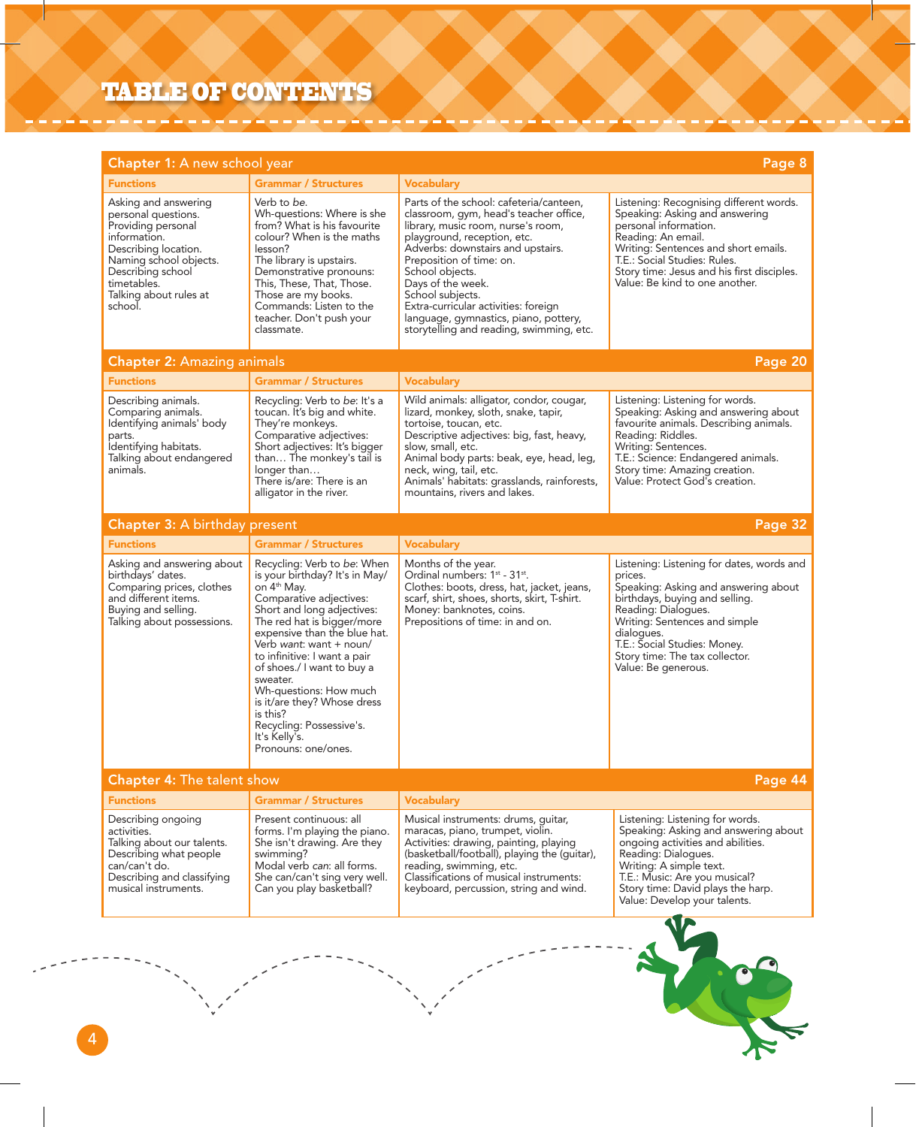## TABLE OF CONTENTS

| Chapter 1: A new school year<br>Page 8                                                                                                                                                                       |                                                                                                                                                                                                                                                                                                                                                                                                                                                               |                                                                                                                                                                                                                                                                                                                                                                                                                  |                                                                                                                                                                                                                                                                                               |  |
|--------------------------------------------------------------------------------------------------------------------------------------------------------------------------------------------------------------|---------------------------------------------------------------------------------------------------------------------------------------------------------------------------------------------------------------------------------------------------------------------------------------------------------------------------------------------------------------------------------------------------------------------------------------------------------------|------------------------------------------------------------------------------------------------------------------------------------------------------------------------------------------------------------------------------------------------------------------------------------------------------------------------------------------------------------------------------------------------------------------|-----------------------------------------------------------------------------------------------------------------------------------------------------------------------------------------------------------------------------------------------------------------------------------------------|--|
| <b>Functions</b>                                                                                                                                                                                             | <b>Grammar / Structures</b>                                                                                                                                                                                                                                                                                                                                                                                                                                   | <b>Vocabulary</b>                                                                                                                                                                                                                                                                                                                                                                                                |                                                                                                                                                                                                                                                                                               |  |
| Asking and answering<br>personal questions.<br>Providing personal<br>information.<br>Describing location.<br>Naming school objects.<br>Describing school<br>timetables.<br>Talking about rules at<br>school. | Verb to be.<br>Wh-questions: Where is she<br>from? What is his favourite<br>colour? When is the maths<br>lesson?<br>The library is upstairs.<br>Demonstrative pronouns:<br>This, These, That, Those.<br>Those are my books.<br>Commands: Listen to the<br>teacher. Don't push your<br>classmate.                                                                                                                                                              | Parts of the school: cafeteria/canteen,<br>classroom, gym, head's teacher office,<br>library, music room, nurse's room,<br>playground, reception, etc.<br>Adverbs: downstairs and upstairs.<br>Preposition of time: on.<br>School objects.<br>Days of the week.<br>School subjects.<br>Extra-curricular activities: foreign<br>language, gymnastics, piano, pottery,<br>storytelling and reading, swimming, etc. | Listening: Recognising different words.<br>Speaking: Asking and answering<br>personal information.<br>Reading: An email.<br>Writing: Sentences and short emails.<br>T.E.: Social Studies: Rules.<br>Story time: Jesus and his first disciples.<br>Value: Be kind to one another.              |  |
| <b>Chapter 2: Amazing animals</b>                                                                                                                                                                            |                                                                                                                                                                                                                                                                                                                                                                                                                                                               |                                                                                                                                                                                                                                                                                                                                                                                                                  | Page 20                                                                                                                                                                                                                                                                                       |  |
| <b>Functions</b>                                                                                                                                                                                             | <b>Grammar / Structures</b>                                                                                                                                                                                                                                                                                                                                                                                                                                   | <b>Vocabulary</b>                                                                                                                                                                                                                                                                                                                                                                                                |                                                                                                                                                                                                                                                                                               |  |
| Describing animals.<br>Comparing animals.<br>Identifying animals' body<br>parts.<br>İdentifying habitats.<br>Talking about endangered<br>animals.                                                            | Recycling: Verb to be: It's a<br>toucan. It's big and white.<br>They're monkeys.<br>Comparative adjectives:<br>Short adjectives: It's bigger<br>than The monkey's tail is<br>longer than<br>There is/are: There is an<br>alligator in the river.                                                                                                                                                                                                              | Wild animals: alligator, condor, cougar,<br>lizard, monkey, sloth, snake, tapir,<br>tortoise, toucan, etc.<br>Descriptive adjectives: big, fast, heavy,<br>slow, small, etc.<br>Animal body parts: beak, eye, head, leg,<br>neck, wing, tail, etc.<br>Animals' habitats: grasslands, rainforests,<br>mountains, rivers and lakes.                                                                                | Listening: Listening for words.<br>Speaking: Asking and answering about<br>favourite animals. Describing animals.<br>Reading: Riddles.<br>Writing: Sentences.<br>T.E.: Science: Endangered animals.<br>Story time: Amazing creation.<br>Value: Protect God's creation.                        |  |
| Chapter 3: A birthday present                                                                                                                                                                                |                                                                                                                                                                                                                                                                                                                                                                                                                                                               |                                                                                                                                                                                                                                                                                                                                                                                                                  | Page 32                                                                                                                                                                                                                                                                                       |  |
| <b>Functions</b>                                                                                                                                                                                             | <b>Grammar / Structures</b>                                                                                                                                                                                                                                                                                                                                                                                                                                   | <b>Vocabulary</b>                                                                                                                                                                                                                                                                                                                                                                                                |                                                                                                                                                                                                                                                                                               |  |
| Asking and answering about<br>birthdays' dates.<br>Comparing prices, clothes<br>and different items.<br>Buying and selling.<br>Talking about possessions.                                                    | Recycling: Verb to be: When<br>is your birthday? It's in May/<br>on 4 <sup>th</sup> May.<br>Comparative adjectives:<br>Short and long adjectives:<br>The red hat is bigger/more<br>expensive than the blue hat.<br>Verb want: want + noun/<br>to infinitive: I want a pair<br>of shoes./ I want to buy a<br>sweater.<br>Wh-questions: How much<br>is it/are they? Whose dress<br>is this?<br>Recycling: Possessive's.<br>It's Kelly's.<br>Pronouns: one/ones. | Months of the year.<br>Ordinal numbers: 1 <sup>st</sup> - 31 <sup>st</sup> .<br>Clothes: boots, dress, hat, jacket, jeans,<br>scarf, shirt, shoes, shorts, skirt, T-shirt.<br>Money: banknotes, coins.<br>Prepositions of time: in and on.                                                                                                                                                                       | Listening: Listening for dates, words and<br>prices.<br>Speaking: Asking and answering about<br>birthdays, buying and selling.<br>Reading: Dialogues.<br>Writing: Sentences and simple<br>dialogues.<br>T.E.: Social Studies: Money.<br>Story time: The tax collector.<br>Value: Be generous. |  |
| Chapter 4: The talent show                                                                                                                                                                                   |                                                                                                                                                                                                                                                                                                                                                                                                                                                               |                                                                                                                                                                                                                                                                                                                                                                                                                  | Page 44                                                                                                                                                                                                                                                                                       |  |
| <b>Functions</b>                                                                                                                                                                                             | <b>Grammar / Structures</b>                                                                                                                                                                                                                                                                                                                                                                                                                                   | <b>Vocabulary</b>                                                                                                                                                                                                                                                                                                                                                                                                |                                                                                                                                                                                                                                                                                               |  |
| Describing ongoing<br>activities.<br>Talking about our talents.<br>Describing what people<br>can/can't do.<br>Describing and classifying<br>musical instruments.                                             | Present continuous: all<br>forms. I'm playing the piano.<br>She isn't drawing. Are they<br>swimming?<br>Modal verb can: all forms.<br>She can/can't sing very well.<br>Can you play basketball?                                                                                                                                                                                                                                                               | Musical instruments: drums, quitar,<br>maracas, piano, trumpet, violin.<br>Activities: drawing, painting, playing<br>(basketball/football), playing the (guitar),<br>reading, swimming, etc.<br>Classifications of musical instruments:<br>keyboard, percussion, string and wind.                                                                                                                                | Listening: Listening for words.<br>Speaking: Asking and answering about<br>ongoing activities and abilities.<br>Reading: Dialogues.<br>Writing: A simple text.<br>T.E.: Music: Are you musical?<br>Story time: David plays the harp.<br>Value: Develop your talents.                          |  |
|                                                                                                                                                                                                              |                                                                                                                                                                                                                                                                                                                                                                                                                                                               |                                                                                                                                                                                                                                                                                                                                                                                                                  |                                                                                                                                                                                                                                                                                               |  |